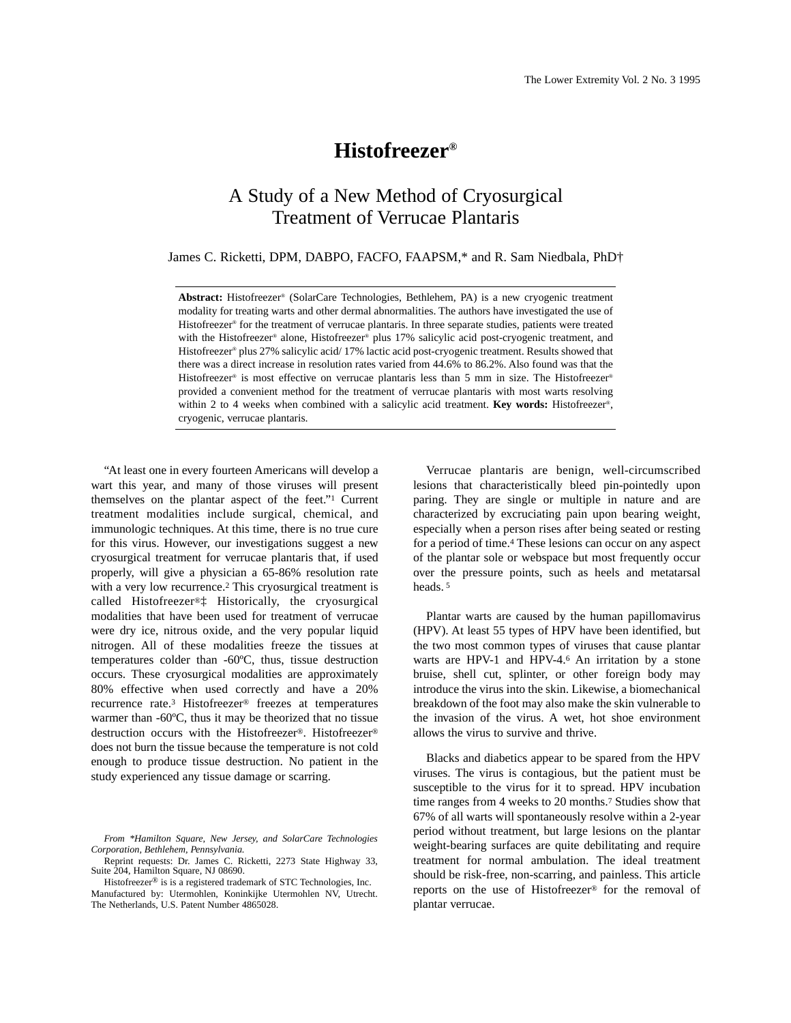# **Histofreezer®**

# A Study of a New Method of Cryosurgical Treatment of Verrucae Plantaris

James C. Ricketti, DPM, DABPO, FACFO, FAAPSM,\* and R. Sam Niedbala, PhD†

**Abstract:** Histofreezer® (SolarCare Technologies, Bethlehem, PA) is a new cryogenic treatment modality for treating warts and other dermal abnormalities. The authors have investigated the use of Histofreezer<sup>®</sup> for the treatment of verrucae plantaris. In three separate studies, patients were treated with the Histofreezer® alone, Histofreezer® plus 17% salicylic acid post-cryogenic treatment, and Histofreezer<sup>®</sup> plus 27% salicylic acid/ 17% lactic acid post-cryogenic treatment. Results showed that there was a direct increase in resolution rates varied from 44.6% to 86.2%. Also found was that the Histofreezer<sup>®</sup> is most effective on verrucae plantaris less than 5 mm in size. The Histofreezer<sup>®</sup> provided a convenient method for the treatment of verrucae plantaris with most warts resolving within 2 to 4 weeks when combined with a salicylic acid treatment. **Key words:** Histofreezer®, cryogenic, verrucae plantaris.

"At least one in every fourteen Americans will develop a wart this year, and many of those viruses will present themselves on the plantar aspect of the feet."1 Current treatment modalities include surgical, chemical, and immunologic techniques. At this time, there is no true cure for this virus. However, our investigations suggest a new cryosurgical treatment for verrucae plantaris that, if used properly, will give a physician a 65-86% resolution rate with a very low recurrence.2 This cryosurgical treatment is called Histofreezer®‡ Historically, the cryosurgical modalities that have been used for treatment of verrucae were dry ice, nitrous oxide, and the very popular liquid nitrogen. All of these modalities freeze the tissues at temperatures colder than -60ºC, thus, tissue destruction occurs. These cryosurgical modalities are approximately 80% effective when used correctly and have a 20% recurrence rate.3 Histofreezer® freezes at temperatures warmer than -60ºC, thus it may be theorized that no tissue destruction occurs with the Histofreezer®. Histofreezer® does not burn the tissue because the temperature is not cold enough to produce tissue destruction. No patient in the study experienced any tissue damage or scarring.

*From \*Hamilton Square, New Jersey, and SolarCare Technologies Corporation, Bethlehem, Pennsylvania.* 

Reprint requests: Dr. James C. Ricketti, 2273 State Highway 33, Suite 204, Hamilton Square, NJ 08690.

Histofreezer® is is a registered trademark of STC Technologies, Inc. Manufactured by: Utermohlen, Koninkijke Utermohlen NV, Utrecht. The Netherlands, U.S. Patent Number 4865028.

Verrucae plantaris are benign, well-circumscribed lesions that characteristically bleed pin-pointedly upon paring. They are single or multiple in nature and are characterized by excruciating pain upon bearing weight, especially when a person rises after being seated or resting for a period of time.4 These lesions can occur on any aspect of the plantar sole or webspace but most frequently occur over the pressure points, such as heels and metatarsal heads. <sup>5</sup>

Plantar warts are caused by the human papillomavirus (HPV). At least 55 types of HPV have been identified, but the two most common types of viruses that cause plantar warts are HPV-1 and HPV-4.6 An irritation by a stone bruise, shell cut, splinter, or other foreign body may introduce the virus into the skin. Likewise, a biomechanical breakdown of the foot may also make the skin vulnerable to the invasion of the virus. A wet, hot shoe environment allows the virus to survive and thrive.

Blacks and diabetics appear to be spared from the HPV viruses. The virus is contagious, but the patient must be susceptible to the virus for it to spread. HPV incubation time ranges from 4 weeks to 20 months.7 Studies show that 67% of all warts will spontaneously resolve within a 2-year period without treatment, but large lesions on the plantar weight-bearing surfaces are quite debilitating and require treatment for normal ambulation. The ideal treatment should be risk-free, non-scarring, and painless. This article reports on the use of Histofreezer® for the removal of plantar verrucae.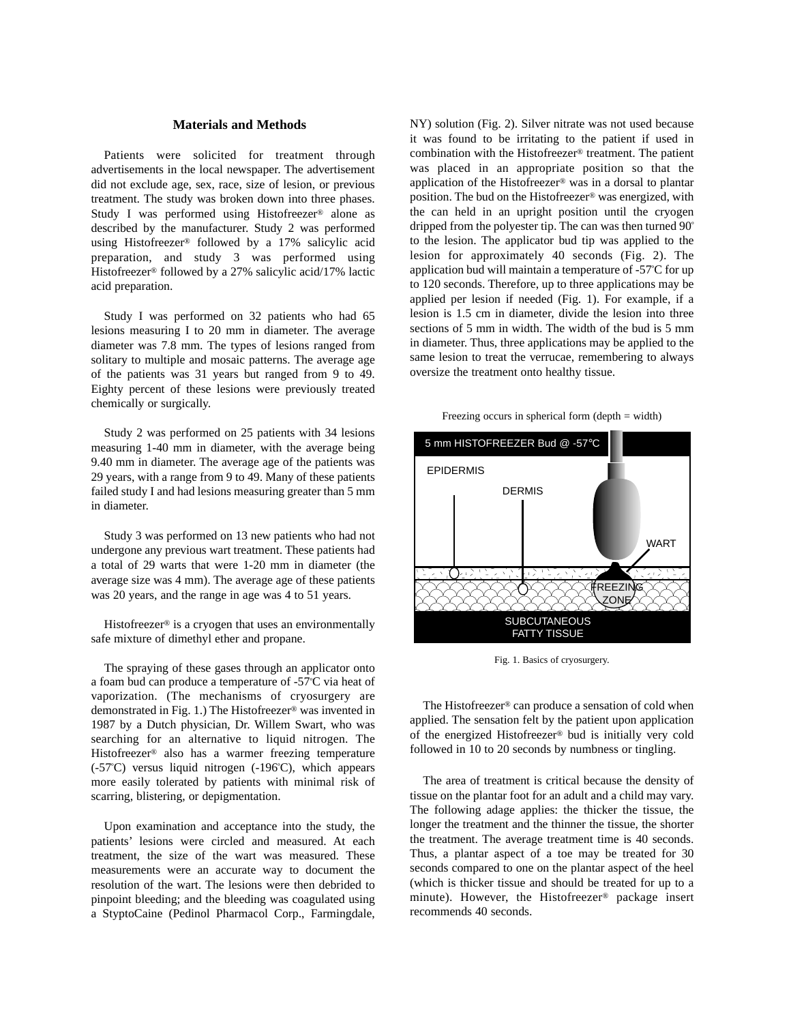## **Materials and Methods**

Patients were solicited for treatment through advertisements in the local newspaper. The advertisement did not exclude age, sex, race, size of lesion, or previous treatment. The study was broken down into three phases. Study I was performed using Histofreezer® alone as described by the manufacturer. Study 2 was performed using Histofreezer® followed by a 17% salicylic acid preparation, and study 3 was performed using Histofreezer® followed by a 27% salicylic acid/17% lactic acid preparation.

Study I was performed on 32 patients who had 65 lesions measuring I to 20 mm in diameter. The average diameter was 7.8 mm. The types of lesions ranged from solitary to multiple and mosaic patterns. The average age of the patients was 31 years but ranged from 9 to 49. Eighty percent of these lesions were previously treated chemically or surgically.

Study 2 was performed on 25 patients with 34 lesions measuring 1-40 mm in diameter, with the average being 9.40 mm in diameter. The average age of the patients was 29 years, with a range from 9 to 49. Many of these patients failed study I and had lesions measuring greater than 5 mm in diameter.

Study 3 was performed on 13 new patients who had not undergone any previous wart treatment. These patients had a total of 29 warts that were 1-20 mm in diameter (the average size was 4 mm). The average age of these patients was 20 years, and the range in age was 4 to 51 years.

Histofreezer<sup>®</sup> is a cryogen that uses an environmentally safe mixture of dimethyl ether and propane.

The spraying of these gases through an applicator onto a foam bud can produce a temperature of -57º C via heat of vaporization. (The mechanisms of cryosurgery are demonstrated in Fig. 1.) The Histofreezer® was invented in 1987 by a Dutch physician, Dr. Willem Swart, who was searching for an alternative to liquid nitrogen. The Histofreezer® also has a warmer freezing temperature (-57º C) versus liquid nitrogen (-196º C), which appears more easily tolerated by patients with minimal risk of scarring, blistering, or depigmentation.

Upon examination and acceptance into the study, the patients' lesions were circled and measured. At each treatment, the size of the wart was measured. These measurements were an accurate way to document the resolution of the wart. The lesions were then debrided to pinpoint bleeding; and the bleeding was coagulated using a StyptoCaine (Pedinol Pharmacol Corp., Farmingdale, NY) solution (Fig. 2). Silver nitrate was not used because it was found to be irritating to the patient if used in combination with the Histofreezer® treatment. The patient was placed in an appropriate position so that the application of the Histofreezer® was in a dorsal to plantar position. The bud on the Histofreezer® was energized, with the can held in an upright position until the cryogen dripped from the polyester tip. The can was then turned 90º to the lesion. The applicator bud tip was applied to the lesion for approximately 40 seconds (Fig. 2). The application bud will maintain a temperature of -57º C for up to 120 seconds. Therefore, up to three applications may be applied per lesion if needed (Fig. 1). For example, if a lesion is 1.5 cm in diameter, divide the lesion into three sections of 5 mm in width. The width of the bud is 5 mm in diameter. Thus, three applications may be applied to the same lesion to treat the verrucae, remembering to always oversize the treatment onto healthy tissue.

Freezing occurs in spherical form  $(depth = width)$ 



Fig. 1. Basics of cryosurgery.

The Histofreezer® can produce a sensation of cold when applied. The sensation felt by the patient upon application of the energized Histofreezer® bud is initially very cold followed in 10 to 20 seconds by numbness or tingling.

The area of treatment is critical because the density of tissue on the plantar foot for an adult and a child may vary. The following adage applies: the thicker the tissue, the longer the treatment and the thinner the tissue, the shorter the treatment. The average treatment time is 40 seconds. Thus, a plantar aspect of a toe may be treated for 30 seconds compared to one on the plantar aspect of the heel (which is thicker tissue and should be treated for up to a minute). However, the Histofreezer® package insert recommends 40 seconds.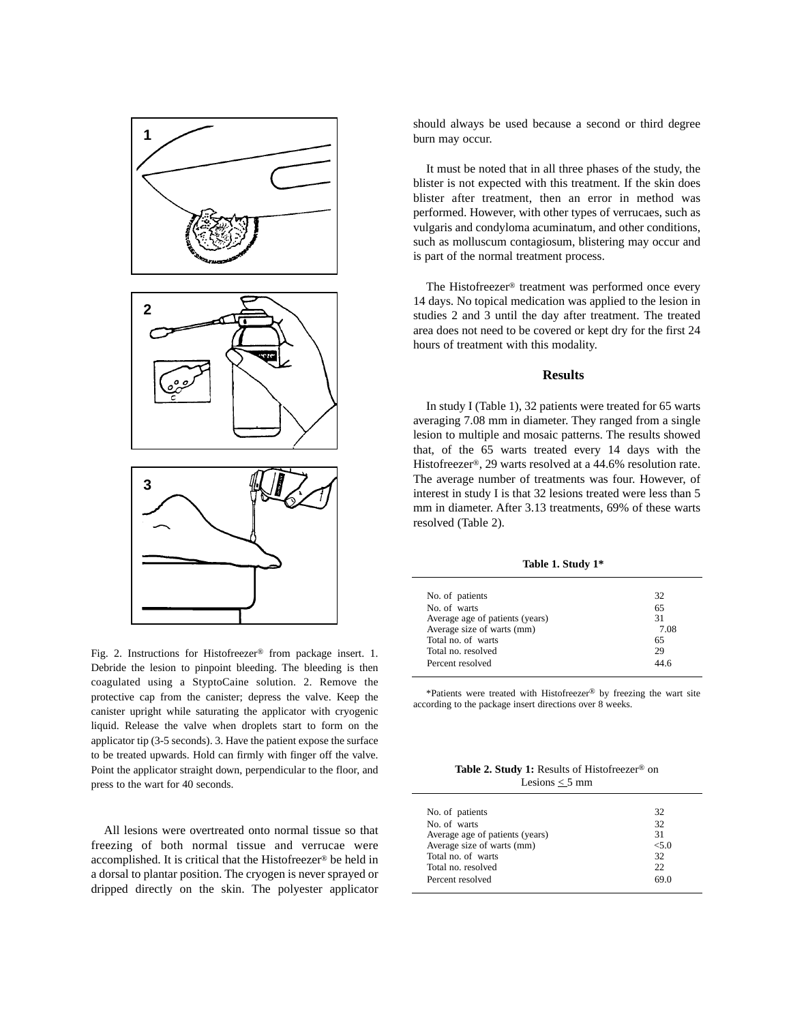

Fig. 2. Instructions for Histofreezer® from package insert. 1. Debride the lesion to pinpoint bleeding. The bleeding is then coagulated using a StyptoCaine solution. 2. Remove the protective cap from the canister; depress the valve. Keep the canister upright while saturating the applicator with cryogenic liquid. Release the valve when droplets start to form on the applicator tip (3-5 seconds). 3. Have the patient expose the surface to be treated upwards. Hold can firmly with finger off the valve. Point the applicator straight down, perpendicular to the floor, and press to the wart for 40 seconds.

All lesions were overtreated onto normal tissue so that freezing of both normal tissue and verrucae were accomplished. It is critical that the Histofreezer® be held in a dorsal to plantar position. The cryogen is never sprayed or dripped directly on the skin. The polyester applicator should always be used because a second or third degree burn may occur.

It must be noted that in all three phases of the study, the blister is not expected with this treatment. If the skin does blister after treatment, then an error in method was performed. However, with other types of verrucaes, such as vulgaris and condyloma acuminatum, and other conditions, such as molluscum contagiosum, blistering may occur and is part of the normal treatment process.

The Histofreezer® treatment was performed once every 14 days. No topical medication was applied to the lesion in studies 2 and 3 until the day after treatment. The treated area does not need to be covered or kept dry for the first 24 hours of treatment with this modality.

### **Results**

In study I (Table 1), 32 patients were treated for 65 warts averaging 7.08 mm in diameter. They ranged from a single lesion to multiple and mosaic patterns. The results showed that, of the 65 warts treated every 14 days with the Histofreezer®, 29 warts resolved at a 44.6% resolution rate. The average number of treatments was four. However, of interest in study I is that 32 lesions treated were less than 5 mm in diameter. After 3.13 treatments, 69% of these warts resolved (Table 2).

**Table 1. Study 1\***

| No. of patients                 | 32   |
|---------------------------------|------|
| No. of warts                    | 65   |
| Average age of patients (years) | 31   |
| Average size of warts (mm)      | 7.08 |
| Total no. of warts              | 65   |
| Total no. resolved              | 29   |
| Percent resolved                | 44.6 |
|                                 |      |

\*Patients were treated with Histofreezer® by freezing the wart site according to the package insert directions over 8 weeks.

**Table 2. Study 1:** Results of Histofreezer® on Lesions  $\leq$  5 mm

| No. of patients                 | 32    |
|---------------------------------|-------|
| No. of warts                    | 32    |
| Average age of patients (years) | 31    |
| Average size of warts (mm)      | < 5.0 |
| Total no. of warts              | 32    |
| Total no. resolved              | 22.   |
| Percent resolved                | 69.0  |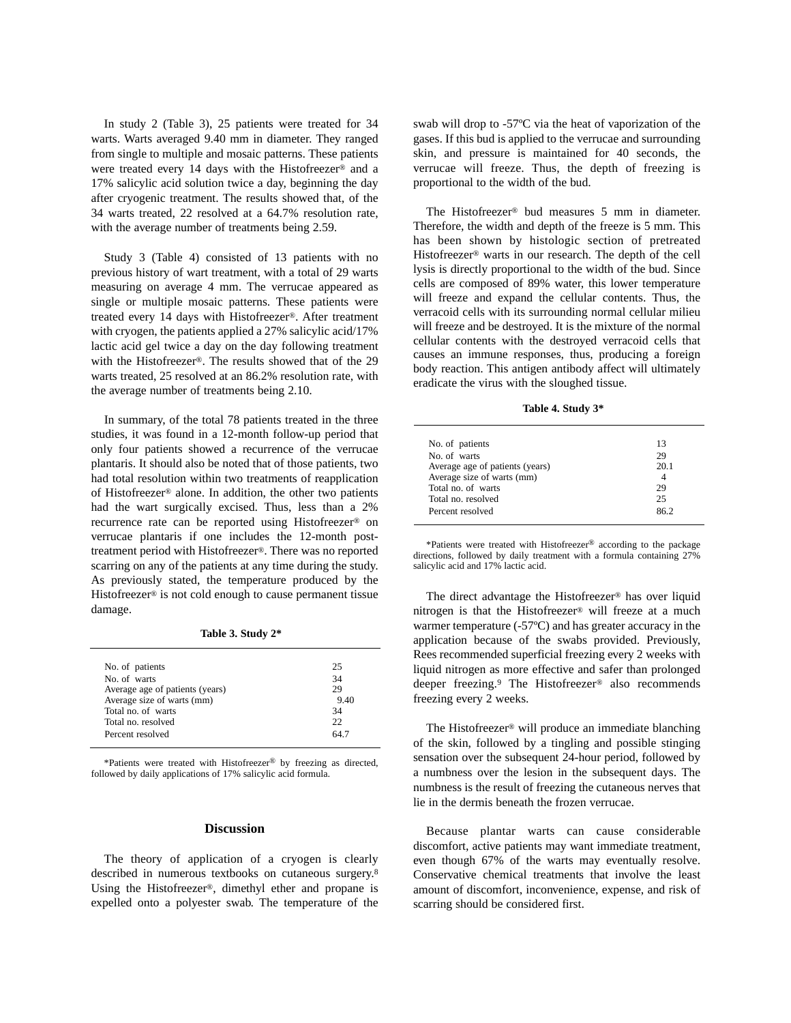In study 2 (Table 3), 25 patients were treated for 34 warts. Warts averaged 9.40 mm in diameter. They ranged from single to multiple and mosaic patterns. These patients were treated every 14 days with the Histofreezer® and a 17% salicylic acid solution twice a day, beginning the day after cryogenic treatment. The results showed that, of the 34 warts treated, 22 resolved at a 64.7% resolution rate, with the average number of treatments being 2.59.

Study 3 (Table 4) consisted of 13 patients with no previous history of wart treatment, with a total of 29 warts measuring on average 4 mm. The verrucae appeared as single or multiple mosaic patterns. These patients were treated every 14 days with Histofreezer®. After treatment with cryogen, the patients applied a 27% salicylic acid/17% lactic acid gel twice a day on the day following treatment with the Histofreezer®. The results showed that of the 29 warts treated, 25 resolved at an 86.2% resolution rate, with the average number of treatments being 2.10.

In summary, of the total 78 patients treated in the three studies, it was found in a 12-month follow-up period that only four patients showed a recurrence of the verrucae plantaris. It should also be noted that of those patients, two had total resolution within two treatments of reapplication of Histofreezer® alone. In addition, the other two patients had the wart surgically excised. Thus, less than a 2% recurrence rate can be reported using Histofreezer® on verrucae plantaris if one includes the 12-month posttreatment period with Histofreezer®. There was no reported scarring on any of the patients at any time during the study. As previously stated, the temperature produced by the Histofreezer® is not cold enough to cause permanent tissue damage.

**Table 3. Study 2\*** 

| 25   |
|------|
| 34   |
| 29   |
| 9.40 |
| 34   |
| 22   |
| 64 7 |
|      |

\*Patients were treated with Histofreezer® by freezing as directed, followed by daily applications of 17% salicylic acid formula.

#### **Discussion**

The theory of application of a cryogen is clearly described in numerous textbooks on cutaneous surgery.8 Using the Histofreezer®, dimethyl ether and propane is expelled onto a polyester swab. The temperature of the swab will drop to -57ºC via the heat of vaporization of the gases. If this bud is applied to the verrucae and surrounding skin, and pressure is maintained for 40 seconds, the verrucae will freeze. Thus, the depth of freezing is proportional to the width of the bud.

The Histofreezer® bud measures 5 mm in diameter. Therefore, the width and depth of the freeze is 5 mm. This has been shown by histologic section of pretreated Histofreezer® warts in our research. The depth of the cell lysis is directly proportional to the width of the bud. Since cells are composed of 89% water, this lower temperature will freeze and expand the cellular contents. Thus, the verracoid cells with its surrounding normal cellular milieu will freeze and be destroyed. It is the mixture of the normal cellular contents with the destroyed verracoid cells that causes an immune responses, thus, producing a foreign body reaction. This antigen antibody affect will ultimately eradicate the virus with the sloughed tissue.

**Table 4. Study 3\*** 

| 13   |
|------|
| 29   |
| 20.1 |
|      |
| 29   |
| 25   |
| 962  |
|      |

\*Patients were treated with Histofreezer® according to the package directions, followed by daily treatment with a formula containing 27% salicylic acid and 17% lactic acid.

The direct advantage the Histofreezer® has over liquid nitrogen is that the Histofreezer® will freeze at a much warmer temperature (-57ºC) and has greater accuracy in the application because of the swabs provided. Previously, Rees recommended superficial freezing every 2 weeks with liquid nitrogen as more effective and safer than prolonged deeper freezing.9 The Histofreezer® also recommends freezing every 2 weeks.

The Histofreezer® will produce an immediate blanching of the skin, followed by a tingling and possible stinging sensation over the subsequent 24-hour period, followed by a numbness over the lesion in the subsequent days. The numbness is the result of freezing the cutaneous nerves that lie in the dermis beneath the frozen verrucae.

Because plantar warts can cause considerable discomfort, active patients may want immediate treatment, even though 67% of the warts may eventually resolve. Conservative chemical treatments that involve the least amount of discomfort, inconvenience, expense, and risk of scarring should be considered first.